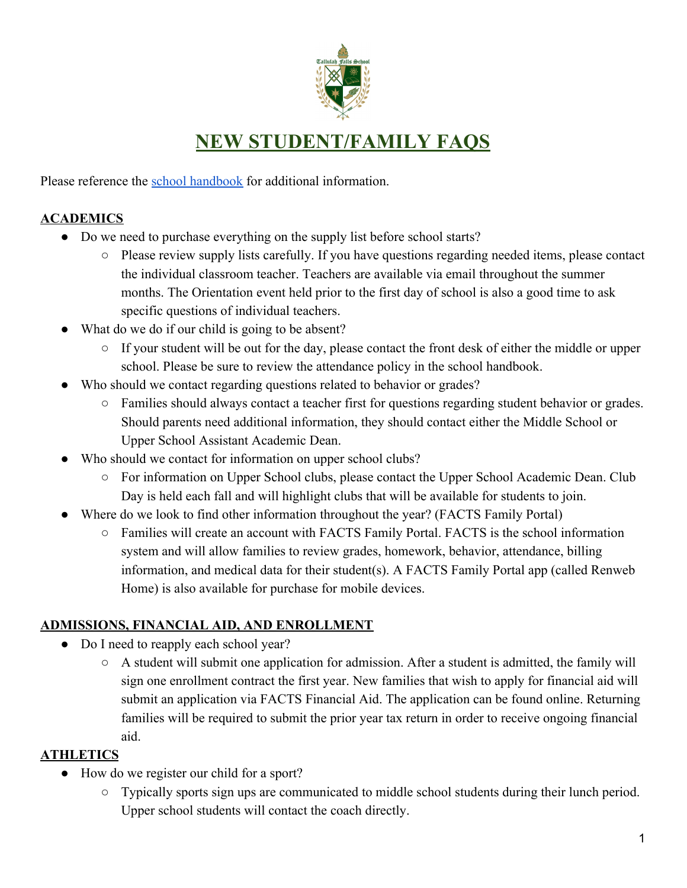

Please reference the [school handbook](https://www.tallulahfalls.org/skins/userfiles/files/2019-20%20Parent%20Student%20Handbook%20rev%2012-2019.pdf) for additional information.

### **ACADEMICS**

- Do we need to purchase everything on the supply list before school starts?
	- Please review supply lists carefully. If you have questions regarding needed items, please contact the individual classroom teacher. Teachers are available via email throughout the summer months. The Orientation event held prior to the first day of school is also a good time to ask specific questions of individual teachers.
- What do we do if our child is going to be absent?
	- If your student will be out for the day, please contact the front desk of either the middle or upper school. Please be sure to review the attendance policy in the school handbook.
- Who should we contact regarding questions related to behavior or grades?
	- Families should always contact a teacher first for questions regarding student behavior or grades. Should parents need additional information, they should contact either the Middle School or Upper School Assistant Academic Dean.
- Who should we contact for information on upper school clubs?
	- For information on Upper School clubs, please contact the Upper School Academic Dean. Club Day is held each fall and will highlight clubs that will be available for students to join.
- Where do we look to find other information throughout the year? (FACTS Family Portal)
	- Families will create an account with FACTS Family Portal. FACTS is the school information system and will allow families to review grades, homework, behavior, attendance, billing information, and medical data for their student(s). A FACTS Family Portal app (called Renweb Home) is also available for purchase for mobile devices.

### **ADMISSIONS, FINANCIAL AID, AND ENROLLMENT**

- Do I need to reapply each school year?
	- $\circ$  A student will submit one application for admission. After a student is admitted, the family will sign one enrollment contract the first year. New families that wish to apply for financial aid will submit an application via FACTS Financial Aid. The application can be found online. Returning families will be required to submit the prior year tax return in order to receive ongoing financial aid.

### **ATHLETICS**

- How do we register our child for a sport?
	- Typically sports sign ups are communicated to middle school students during their lunch period. Upper school students will contact the coach directly.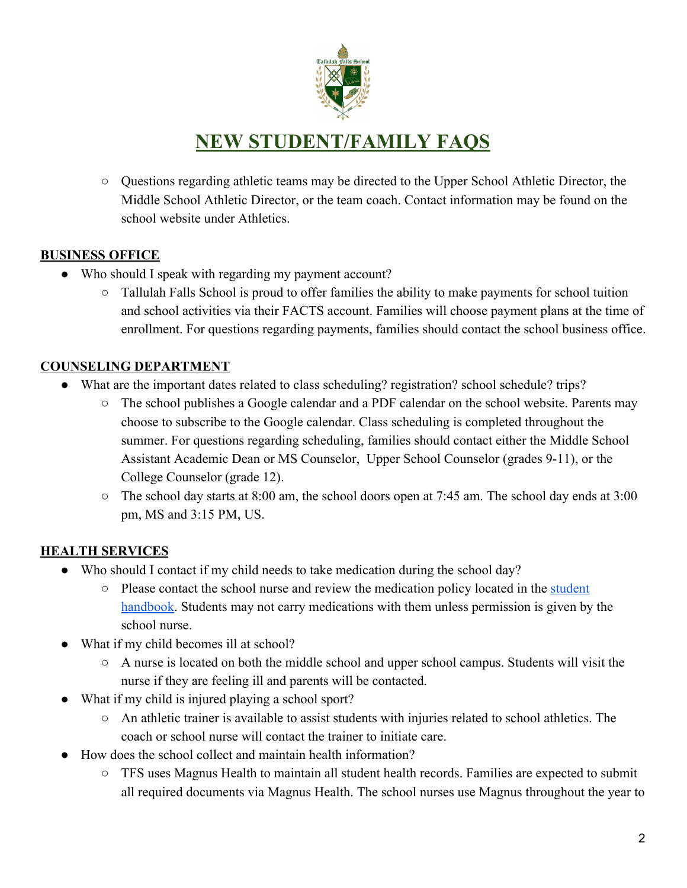

○ Questions regarding athletic teams may be directed to the Upper School Athletic Director, the Middle School Athletic Director, or the team coach. Contact information may be found on the school website under Athletics.

#### **BUSINESS OFFICE**

- Who should I speak with regarding my payment account?
	- $\circ$  Tallulah Falls School is proud to offer families the ability to make payments for school tuition and school activities via their FACTS account. Families will choose payment plans at the time of enrollment. For questions regarding payments, families should contact the school business office.

#### **COUNSELING DEPARTMENT**

- What are the important dates related to class scheduling? registration? school schedule? trips?
	- The school publishes a Google calendar and a PDF calendar on the school website. Parents may choose to subscribe to the Google calendar. Class scheduling is completed throughout the summer. For questions regarding scheduling, families should contact either the Middle School Assistant Academic Dean or MS Counselor, Upper School Counselor (grades 9-11), or the College Counselor (grade 12).
	- $\circ$  The school day starts at 8:00 am, the school doors open at 7:45 am. The school day ends at 3:00 pm, MS and 3:15 PM, US.

### **HEALTH SERVICES**

- Who should I contact if my child needs to take medication during the school day?
	- Please contact the school nurse and review the medication policy located in the [student](https://www.tallulahfalls.org/skins/userfiles/files/2019-20%20Parent%20Student%20Handbook%20rev%2012-2019.pdf) [handbook](https://www.tallulahfalls.org/skins/userfiles/files/2019-20%20Parent%20Student%20Handbook%20rev%2012-2019.pdf). Students may not carry medications with them unless permission is given by the school nurse.
- What if my child becomes ill at school?
	- A nurse is located on both the middle school and upper school campus. Students will visit the nurse if they are feeling ill and parents will be contacted.
- What if my child is injured playing a school sport?
	- An athletic trainer is available to assist students with injuries related to school athletics. The coach or school nurse will contact the trainer to initiate care.
- How does the school collect and maintain health information?
	- TFS uses Magnus Health to maintain all student health records. Families are expected to submit all required documents via Magnus Health. The school nurses use Magnus throughout the year to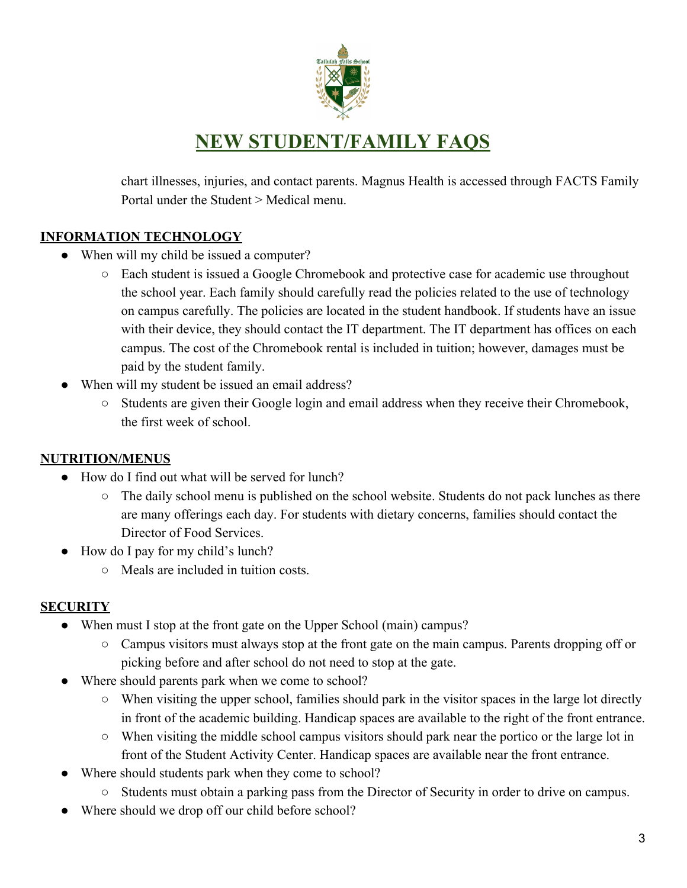

chart illnesses, injuries, and contact parents. Magnus Health is accessed through FACTS Family Portal under the Student > Medical menu.

#### **INFORMATION TECHNOLOGY**

- When will my child be issued a computer?
	- Each student is issued a Google Chromebook and protective case for academic use throughout the school year. Each family should carefully read the policies related to the use of technology on campus carefully. The policies are located in the student handbook. If students have an issue with their device, they should contact the IT department. The IT department has offices on each campus. The cost of the Chromebook rental is included in tuition; however, damages must be paid by the student family.
- When will my student be issued an email address?
	- Students are given their Google login and email address when they receive their Chromebook, the first week of school.

#### **NUTRITION/MENUS**

- How do I find out what will be served for lunch?
	- The daily school menu is published on the school website. Students do not pack lunches as there are many offerings each day. For students with dietary concerns, families should contact the Director of Food Services.
- How do I pay for my child's lunch?
	- Meals are included in tuition costs.

#### **SECURITY**

- When must I stop at the front gate on the Upper School (main) campus?
	- Campus visitors must always stop at the front gate on the main campus. Parents dropping off or picking before and after school do not need to stop at the gate.
- Where should parents park when we come to school?
	- When visiting the upper school, families should park in the visitor spaces in the large lot directly in front of the academic building. Handicap spaces are available to the right of the front entrance.
	- $\circ$  When visiting the middle school campus visitors should park near the portico or the large lot in front of the Student Activity Center. Handicap spaces are available near the front entrance.
- Where should students park when they come to school?
	- Students must obtain a parking pass from the Director of Security in order to drive on campus.
- Where should we drop off our child before school?